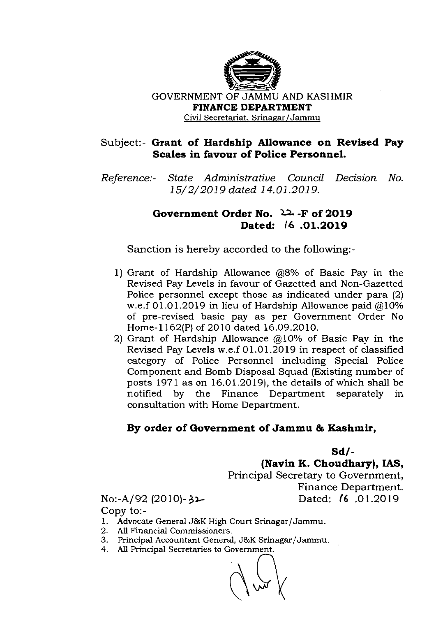

GOVERNMENT OF JAMMU AND KASHMIR **FINANCE DEPARTMENT**  Civil Secretariat, Srinagar/Jammu

## Subject:- **Grant of Hardship Allowance on Revised Pay Scales in favour of Police Personnel.**

Reference:- State Administrative Council Decision No. 15/2/2019 dated 14.01.2019.

## **Government Order No. 22. -F of 2019 Dated: 16 .01.2019**

Sanction is hereby accorded to the following:-

- 1) Grant of Hardship Allowance @8% of Basic Pay in the Revised Pay Levels in favour of Gazetted and Non-Gazetted Police personnel except those as indicated under para (2) w.e.f  $01.01.2019$  in lieu of Hardship Allowance paid  $@10\%$ of pre-revised basic pay as per Government Order No Home-1 162(P) of 2010 dated 16.09.2010.
- 2) Grant of Hardship Allowance  $(2,10)$ % of Basic Pay in the Revised Pay Levels w.e.f 01.01.2019 in respect of classified category of Police Personnel including Special Police Component and Bomb Disposal Squad (Existing number of posts  $1971$  as on  $16.01.2019$ ), the details of which shall be notified by the Finance Department separately in consultation with Home Department.

## **By order of Government of Jammu L Kashmir,**

**Sd/** -

**(Navin K. Choudhary), IAS,** 

Principal Secretary to Government, Finance Department. No:-A192 (2010)- **3b** Dated: 16 .01.2019

Copy t0:-

- 1. Advocate General J&K High Court Srinagar/Jammu.
- 2. All Financial Commissioners.
- 3. Principal Accountant General, J&K Srinagar/Jammu.<br>4. All Principal Secretaries to Government.
- 4. All Principal Secretaries to Government.